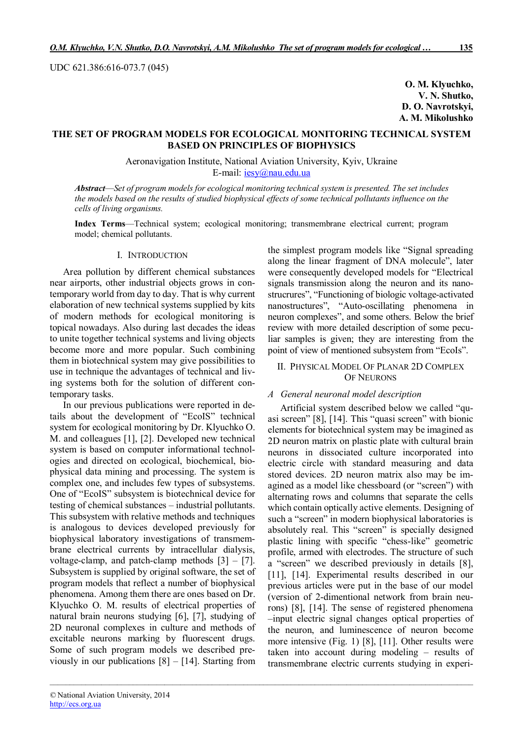UDC 621.386:616-073.7 (045)

**O. M. Klyuchko, V. N. Shutko, D. O. Navrotskyi, A. M. Mikolushko**

# **THE SET OF PROGRAM MODELS FOR ECOLOGICAL MONITORING TECHNICAL SYSTEM BASED ON PRINCIPLES OF BIOPHYSICS**

Aeronavigation Institute, National Aviation University, Kyiv, Ukraine E-mail: iesy@nau.edu.ua

*Abstract*—*Set of program models for ecological monitoring technical system is presented. The set includes the models based on the results of studied biophysical effects of some technical pollutants influence on the cells of living organisms.*

**Index Terms**—Technical system; ecological monitoring; transmembrane electrical current; program model; chemical pollutants.

*\_\_\_\_\_\_\_\_\_\_\_\_\_\_\_\_\_\_\_\_\_\_\_\_\_\_\_\_\_\_\_\_\_\_\_\_\_\_\_\_\_\_\_\_\_\_\_\_\_\_\_\_\_\_\_\_\_\_\_\_\_\_\_\_\_\_\_\_\_\_\_\_\_\_\_\_\_\_\_\_\_\_\_\_\_\_\_\_\_\_\_\_\_\_\_\_\_\_\_\_\_\_\_\_\_\_\_*

## I. INTRODUCTION

Area pollution by different chemical substances near airports, other industrial objects grows in contemporary world from day to day. That is why current elaboration of new technical systems supplied by kits of modern methods for ecological monitoring is topical nowadays. Also during last decades the ideas to unite together technical systems and living objects become more and more popular. Such combining them in biotechnical system may give possibilities to use in technique the advantages of technical and living systems both for the solution of different contemporary tasks.

In our previous publications were reported in details about the development of "EcoIS" technical system for ecological monitoring by Dr. Klyuchko O. M. and colleagues [1], [2]. Developed new technical system is based on computer informational technologies and directed on ecological, biochemical, biophysical data mining and processing. The system is complex one, and includes few types of subsystems. One of "EcoIS" subsystem is biotechnical device for testing of chemical substances – industrial pollutants. This subsystem with relative methods and techniques is analogous to devices developed previously for biophysical laboratory investigations of transmembrane electrical currents by intracellular dialysis, voltage-clamp, and patch-clamp methods  $[3] - [7]$ . Subsystem is supplied by original software, the set of program models that reflect a number of biophysical phenomena. Among them there are ones based on Dr. Klyuchko O. M. results of electrical properties of natural brain neurons studying [6], [7], studying of 2D neuronal complexes in culture and methods of excitable neurons marking by fluorescent drugs. Some of such program models we described previously in our publications  $[8] - [14]$ . Starting from

the simplest program models like "Signal spreading along the linear fragment of DNA molecule", later were consequently developed models for "Electrical signals transmission along the neuron and its nanostrucrures", "Functioning of biologic voltage-activated nanostructures", "Auto-oscillating phenomena in neuron complexes", and some others. Below the brief review with more detailed description of some peculiar samples is given; they are interesting from the point of view of mentioned subsystem from "EcoIs".

### II. PHYSICAL MODEL OF PLANAR 2D COMPLEX OF NEURONS

### *A General neuronal model description*

Artificial system described below we called "quasi screen" [8], [14]. This "quasi screen" with bionic elements for biotechnical system may be imagined as 2D neuron matrix on plastic plate with cultural brain neurons in dissociated culture incorporated into electric circle with standard measuring and data stored devices. 2D neuron matrix also may be imagined as a model like chessboard (or "screen") with alternating rows and columns that separate the cells which contain optically active elements. Designing of such a "screen" in modern biophysical laboratories is absolutely real. This "screen" is specially designed plastic lining with specific "chess-like" geometric profile, armed with electrodes. The structure of such a "screen" we described previously in details [8], [11], [14]. Experimental results described in our previous articles were put in the base of our model (version of 2-dimentional network from brain neurons) [8], [14]. The sense of registered phenomena –input electric signal changes optical properties of the neuron, and luminescence of neuron become more intensive (Fig. 1) [8], [11]. Other results were taken into account during modeling – results of transmembrane electric currents studying in experi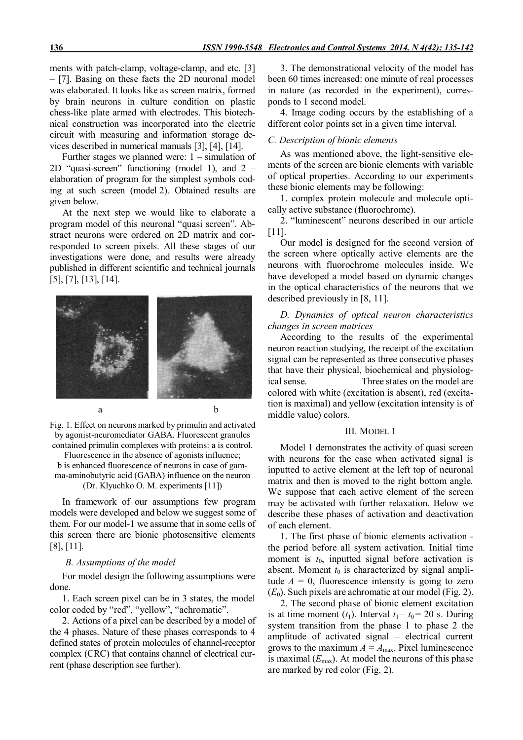ments with patch-clamp, voltage-clamp, and etc. [3] – [7]. Basing on these facts the 2D neuronal model was elaborated. It looks like as screen matrix, formed by brain neurons in culture condition on plastic chess-like plate armed with electrodes. This biotechnical construction was incorporated into the electric circuit with measuring and information storage devices described in numerical manuals [3], [4], [14].

Further stages we planned were: 1 – simulation of 2D "quasi-screen" functioning (model 1), and 2 – elaboration of program for the simplest symbols coding at such screen (model 2). Obtained results are given below.

At the next step we would like to elaborate a program model of this neuronal "quasi screen". Abstract neurons were ordered on 2D matrix and corresponded to screen pixels. All these stages of our investigations were done, and results were already published in different scientific and technical journals [5], [7], [13], [14].



Fig. 1. Effect on neurons marked by primulin and activated by agonist-neuromediator GABA. Fluorescent granules contained primulin complexes with proteins: a is control.

Fluorescence in the absence of agonists influence; b is enhanced fluorescence of neurons in case of gamma-aminobutyric acid (GABA) influence on the neuron (Dr. Klyuchko O. M. experiments [11])

In framework of our assumptions few program models were developed and below we suggest some of them. For our model-1 we assume that in some cells of this screen there are bionic photosensitive elements [8], [11].

## *B. Assumptions of the model*

For model design the following assumptions were done.

1. Each screen pixel can be in 3 states, the model color coded by "red", "yellow", "achromatic".

2. Actions of a pixel can be described by a model of the 4 phases. Nature of these phases corresponds to 4 defined states of protein molecules of channel-receptor complex (CRC) that contains channel of electrical current (phase description see further).

3. The demonstrational velocity of the model has been 60 times increased: one minute of real processes in nature (as recorded in the experiment), corresponds to 1 second model.

4. Image coding occurs by the establishing of a different color points set in a given time interval.

### *C. Description of bionic elements*

As was mentioned above, the light-sensitive elements of the screen are bionic elements with variable of optical properties. According to our experiments these bionic elements may be following:

1. complex protein molecule and molecule optically active substance (fluorochrome).

2. "luminescent" neurons described in our article [11].

Our model is designed for the second version of the screen where optically active elements are the neurons with fluorochrome molecules inside. We have developed a model based on dynamic changes in the optical characteristics of the neurons that we described previously in [8, 11].

# *D. Dynamics of optical neuron characteristics changes in screen matrices*

According to the results of the experimental neuron reaction studying, the receipt of the excitation signal can be represented as three consecutive phases that have their physical, biochemical and physiological sense. Three states on the model are colored with white (excitation is absent), red (excitation is maximal) and yellow (excitation intensity is of middle value) colors.

### III. MODEL 1

Model 1 demonstrates the activity of quasi screen with neurons for the case when activated signal is inputted to active element at the left top of neuronal matrix and then is moved to the right bottom angle. We suppose that each active element of the screen may be activated with further relaxation. Below we describe these phases of activation and deactivation of each element.

1. The first phase of bionic elements activation the period before all system activation. Initial time moment is  $t_0$ , inputted signal before activation is absent. Moment  $t_0$  is characterized by signal amplitude  $A = 0$ , fluorescence intensity is going to zero  $(E_0)$ . Such pixels are achromatic at our model (Fig. 2).

2. The second phase of bionic element excitation is at time moment  $(t_1)$ . Interval  $t_1 - t_0 = 20$  s. During system transition from the phase 1 to phase 2 the amplitude of activated signal – electrical current grows to the maximum  $A = A_{\text{max}}$ . Pixel luminescence is maximal  $(E_{\text{max}})$ . At model the neurons of this phase are marked by red color (Fig. 2).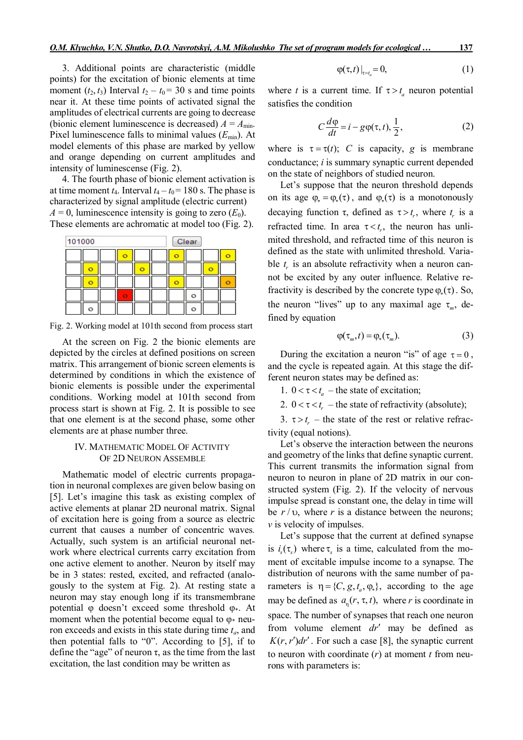3. Additional points are characteristic (middle points) for the excitation of bionic elements at time moment  $(t_2, t_3)$  Interval  $t_2 - t_0 = 30$  s and time points near it. At these time points of activated signal the amplitudes of electrical currents are going to decrease (bionic element luminescence is decreased)  $A = A_{min}$ . Pixel luminescence falls to minimal values  $(E_{min})$ . At model elements of this phase are marked by yellow and orange depending on current amplitudes and intensity of luminescense (Fig. 2).

4. The fourth phase of bionic element activation is at time moment  $t_4$ . Interval  $t_4 - t_0 = 180$  s. The phase is characterized by signal amplitude (electric current)  $A = 0$ , luminescence intensity is going to zero  $(E_0)$ . These elements are achromatic at model too (Fig. 2).



Fig. 2. Working model at 101th second from process start

At the screen on Fig. 2 the bionic elements are depicted by the circles at defined positions on screen matrix. This arrangement of bionic screen elements is determined by conditions in which the existence of bionic elements is possible under the experimental conditions. Working model at 101th second from process start is shown at Fig. 2. It is possible to see that one element is at the second phase, some other elements are at phase number three.

# IV. MATHEMATIC MODEL OF ACTIVITY OF 2D NEURON ASSEMBLE

Mathematic model of electric currents propagation in neuronal complexes are given below basing on [5]. Let's imagine this task as existing complex of active elements at planar 2D neuronal matrix. Signal of excitation here is going from a source as electric current that causes a number of concentric waves*.*  Actually, such system is an artificial neuronal network where electrical currents carry excitation from one active element to another. Neuron by itself may be in 3 states: rested, excited, and refracted (analogously to the system at Fig. 2). At resting state a neuron may stay enough long if its transmembrane potential  $\varphi$  doesn't exceed some threshold  $\varphi$ . At moment when the potential become equal to  $\varphi$  neuron exceeds and exists in this state during time *ta*, and then potential falls to "0". According to [5], if to define the "age" of neuron  $\tau$ , as the time from the last excitation, the last condition may be written as

$$
\varphi(\tau,t)\big|_{\tau=t_a}=0,\tag{1}
$$

where *t* is a current time. If  $\tau > t_a$  neuron potential satisfies the condition

$$
C\frac{d\varphi}{dt} = i - g\varphi(\tau, t), \frac{1}{2},
$$
 (2)

where is  $\tau = \tau(t)$ ; *C* is capacity, *g* is membrane conductance; *і* is summary synaptic current depended on the state of neighbors of studied neuron.

Let's suppose that the neuron threshold depends on its age  $\varphi_* = \varphi_*(\tau)$ , and  $\varphi_*(\tau)$  is a monotonously decaying function  $\tau$ , defined as  $\tau > t_r$ , where  $t_r$  is a refracted time. In area  $\tau < t_r$ , the neuron has unlimited threshold, and refracted time of this neuron is defined as the state with unlimited threshold. Variable  $t_r$  is an absolute refractivity when a neuron cannot be excited by any outer influence. Relative refractivity is described by the concrete type  $\varphi_*(\tau)$ . So, the neuron "lives" up to any maximal age  $\tau_m$ , defined by equation

$$
\varphi(\tau_m, t) = \varphi_*(\tau_m). \tag{3}
$$

During the excitation a neuron "is" of age  $\tau = 0$ , and the cycle is repeated again. At this stage the different neuron states may be defined as:

1.  $0 < \tau < t_a$  – the state of excitation;

2.  $0 < \tau < t_r$  – the state of refractivity (absolute);

3.  $\tau > t_r$  – the state of the rest or relative refractivity (equal notions).

Let's observe the interaction between the neurons and geometry of the links that define synaptic current. This current transmits the information signal from neuron to neuron in plane of 2D matrix in our constructed system (Fig. 2). If the velocity of nervous impulse spread is constant one, the delay in time will be  $r / v$ , where r is a distance between the neurons; *v* is velocity of impulses.

Let's suppose that the current at defined synapse is  $i_s(\tau_s)$  where  $\tau_s$  is a time, calculated from the moment of excitable impulse income to a synapse. The distribution of neurons with the same number of parameters is  $\eta = \{C, g, t_a, \varphi_*\}$ , according to the age may be defined as  $a_n(r, \tau, t)$ , where *r* is coordinate in space. The number of synapses that reach one neuron from volume element *dr'* may be defined as  $K(r, r')dr'$ . For such a case [8], the synaptic current to neuron with coordinate (*r*) at moment *t* from neurons with parameters is: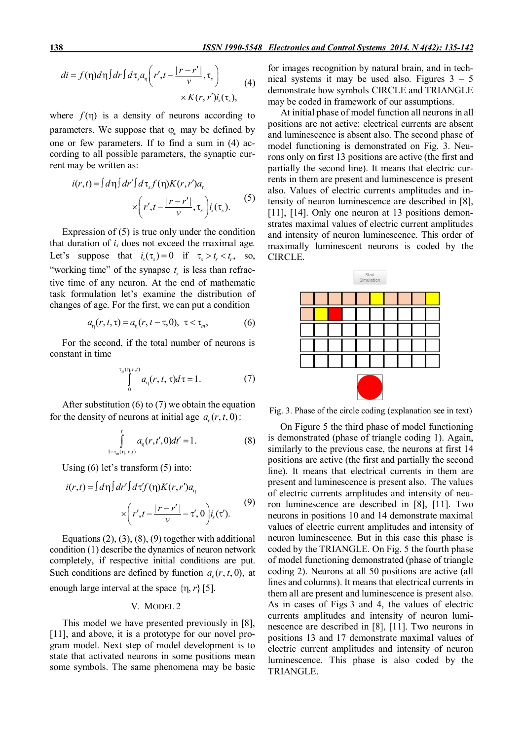$$
di = f(\eta)d\eta\int dr \int d\tau_s a_\eta \left(r', t - \frac{|r - r'|}{\nu}, \tau_s\right) \times K(r, r')i_s(\tau_s), \tag{4}
$$

where  $f(\eta)$  is a density of neurons according to parameters. We suppose that  $\varphi$  may be defined by one or few parameters. If to find a sum in (4) according to all possible parameters, the synaptic current may be written as:

$$
i(r,t) = \int d\eta \int dr' \int d\tau_s f(\eta) K(r,r') a_\eta
$$
  
 
$$
\times \left( r', t - \frac{|r - r'|}{v}, \tau_s \right) i_s(\tau_s). \tag{5}
$$

Expression of (5) is true only under the condition that duration of *і<sup>s</sup>* does not exceed the maximal age. Let's suppose that  $i_s(\tau_s) = 0$  if  $\tau_s > t_s < t_r$ , so, "working time" of the synapse  $t_s$  is less than refractive time of any neuron. At the end of mathematic task formulation let's examine the distribution of changes of age. For the first, we can put a condition

$$
a_{n}(r, t, \tau) = a_{n}(r, t - \tau, 0), \ \tau < \tau_{m}, \tag{6}
$$

For the second, if the total number of neurons is constant in time

$$
\int_{0}^{\tau_m(\eta,r,t)} a_{\eta}(r,t,\tau)d\tau = 1.
$$
 (7)

After substitution (6) to (7) we obtain the equation for the density of neurons at initial age  $a_n(r, t, 0)$ :

$$
\int_{1-\tau_m(\eta,\,r,t)}^t a_\eta(r,t',0)dt'=1.
$$
\n(8)

Using (6) let's transform (5) into:

$$
i(r,t) = \int d\eta \int dr' \int d\tau' f(\eta) K(r,r') a_{\eta}
$$
  
 
$$
\times \left(r', t - \frac{|r - r'|}{v} - \tau', 0\right) i_s(\tau'). \tag{9}
$$

Equations  $(2)$ ,  $(3)$ ,  $(8)$ ,  $(9)$  together with additional condition (1) describe the dynamics of neuron network completely, if respective initial conditions are put. Such conditions are defined by function  $a_n(r, t, 0)$ , at enough large interval at the space  $\{\eta, r\}$  [5].

#### V. MODEL 2

This model we have presented previously in [8], [11], and above, it is a prototype for our novel program model. Next step of model development is to state that activated neurons in some positions mean some symbols. The same phenomena may be basic for images recognition by natural brain, and in technical systems it may be used also. Figures  $3 - 5$ demonstrate how symbols CIRCLE and TRIANGLE may be coded in framework of our assumptions.

At initial phase of model function all neurons in all positions are not active: electrical currents are absent and luminescence is absent also. The second phase of model functioning is demonstrated on Fig. 3. Neurons only on first 13 positions are active (the first and partially the second line). It means that electric currents in them are present and luminescence is present also. Values of electric currents amplitudes and intensity of neuron luminescence are described in [8], [11], [14]. Only one neuron at 13 positions demonstrates maximal values of electric current amplitudes and intensity of neuron luminescence. This order of maximally luminescent neurons is coded by the CIRCLE.



Fig. 3. Phase of the circle coding (explanation see in text)

On Figure 5 the third phase of model functioning is demonstrated (phase of triangle coding 1). Again, similarly to the previous case, the neurons at first 14 positions are active (the first and partially the second line). It means that electrical currents in them are present and luminescence is present also. The values of electric currents amplitudes and intensity of neuron luminescence are described in [8], [11]. Two neurons in positions 10 and 14 demonstrate maximal values of electric current amplitudes and intensity of neuron luminescence. But in this case this phase is coded by the TRIANGLE. On Fig. 5 the fourth phase of model functioning demonstrated (phase of triangle coding 2). Neurons at all 50 positions are active (all lines and columns). It means that electrical currents in them all are present and luminescence is present also. As in cases of Figs 3 and 4, the values of electric currents amplitudes and intensity of neuron luminescence are described in [8], [11]. Two neurons in positions 13 and 17 demonstrate maximal values of electric current amplitudes and intensity of neuron luminescence. This phase is also coded by the TRIANGLE.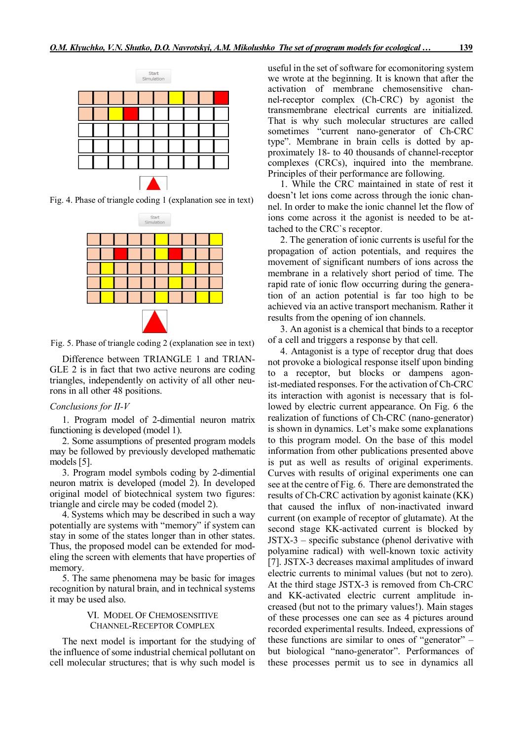

Fig. 4. Phase of triangle coding 1 (explanation see in text)



Fig. 5. Phase of triangle coding 2 (explanation see in text)

Difference between TRIANGLE 1 and TRIAN-GLE 2 is in fact that two active neurons are coding triangles, independently on activity of all other neurons in all other 48 positions.

#### *Conclusions for II-V*

1. Program model of 2-dimential neuron matrix functioning is developed (model 1).

2. Some assumptions of presented program models may be followed by previously developed mathematic models [5].

3. Program model symbols coding by 2-dimential neuron matrix is developed (model 2). In developed original model of biotechnical system two figures: triangle and circle may be coded (model 2).

4. Systems which may be described in such a way potentially are systems with "memory" if system can stay in some of the states longer than in other states. Thus, the proposed model can be extended for modeling the screen with elements that have properties of memory.

5. The same phenomena may be basic for images recognition by natural brain, and in technical systems it may be used also.

## VI. MODEL OF CHEMOSENSITIVE CHANNEL-RECEPTOR COMPLEX

The next model is important for the studying of the influence of some industrial chemical pollutant on cell molecular structures; that is why such model is

useful in the set of software for ecomonitoring system we wrote at the beginning. It is known that after the activation of membrane chemosensitive channel-receptor complex (Ch-CRC) by agonist the transmembrane electrical currents are initialized. That is why such molecular structures are called sometimes "current nano-generator of Ch-CRC type". Membrane in brain cells is dotted by approximately 18- to 40 thousands of channel-receptor complexes (CRCs), inquired into the membrane. Principles of their performance are following.

1. While the CRC maintained in state of rest it doesn't let ions come across through the ionic channel. In order to make the ionic channel let the flow of ions come across it the agonist is needed to be attached to the CRC`s receptor.

2. The generation of ionic currents is useful for the propagation of action potentials, and requires the movement of significant numbers of ions across the membrane in a relatively short period of time. The rapid rate of ionic flow occurring during the generation of an action potential is far too high to be achieved via an active transport mechanism. Rather it results from the opening of ion channels.

3. An agonist is a chemical that binds to a receptor of a cell and triggers a response by that cell.

4. Antagonist is a type of receptor drug that does not provoke a biological response itself upon binding to a receptor, but blocks or dampens agonist-mediated responses. For the activation of Ch-CRC its interaction with agonist is necessary that is followed by electric current appearance. On Fig. 6 the realization of functions of Ch-CRC (nano-generator) is shown in dynamics. Let's make some explanations to this program model. On the base of this model information from other publications presented above is put as well as results of original experiments. Curves with results of original experiments one can see at the centre of Fig. 6. There are demonstrated the results of Ch-CRC activation by agonist kainate (KK) that caused the influx of non-inactivated inward current (on example of receptor of glutamate). At the second stage KK-activated current is blocked by JSTX-3 – specific substance (phenol derivative with polyamine radical) with well-known toxic activity [7]. JSTX-3 decreases maximal amplitudes of inward electric currents to minimal values (but not to zero). At the third stage JSTX-3 is removed from Ch-CRC and KK-activated electric current amplitude increased (but not to the primary values!). Main stages of these processes one can see as 4 pictures around recorded experimental results. Indeed, expressions of these functions are similar to ones of "generator" – but biological "nano-generator". Performances of these processes permit us to see in dynamics all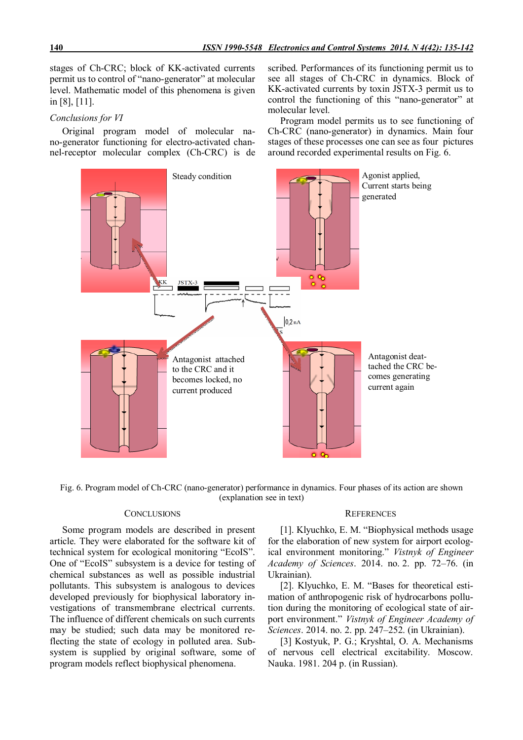stages of Ch-CRC; block of KK-activated currents permit us to control of "nano-generator" at molecular level. Mathematic model of this phenomena is given in [8], [11].

## *Conclusions for VI*

Original program model of molecular nano-generator functioning for electro-activated channel-receptor molecular complex (Ch-CRC) is de

scribed. Performances of its functioning permit us to see all stages of Ch-CRC in dynamics. Block of KK-activated currents by toxin JSTX-3 permit us to control the functioning of this "nano-generator" at molecular level.

Program model permits us to see functioning of Ch-CRC (nano-generator) in dynamics. Main four stages of these processes one can see as four pictures around recorded experimental results on Fig. 6.



Fig. 6. Program model of Ch-CRC (nano-generator) performance in dynamics. Four phases of its action are shown (explanation see in text)

# **CONCLUSIONS**

Some program models are described in present article. They were elaborated for the software kit of technical system for ecological monitoring "EcoIS". One of "EcoIS" subsystem is a device for testing of chemical substances as well as possible industrial pollutants. This subsystem is analogous to devices developed previously for biophysical laboratory investigations of transmembrane electrical currents. The influence of different chemicals on such currents may be studied; such data may be monitored reflecting the state of ecology in polluted area. Subsystem is supplied by original software, some of program models reflect biophysical phenomena.

#### **REFERENCES**

[1]. Klyuchko, E. M. "Biophysical methods usage for the elaboration of new system for airport ecological environment monitoring." *Vistnyk of Engineer Academy of Sciences*. 2014. no. 2. pp. 72–76. (in Ukrainian).

[2]. Klyuchko, E. M. "Bases for theoretical estimation of anthropogenic risk of hydrocarbons pollution during the monitoring of ecological state of airport environment." *Vistnyk of Engineer Academy of Sciences*. 2014. no. 2. pp. 247–252. (in Ukrainian).

[3] Kostyuk, P. G.; Kryshtal, O. A. Mechanisms of nervous cell electrical excitability. Мoscow. Nauka. 1981. 204 p. (in Russian).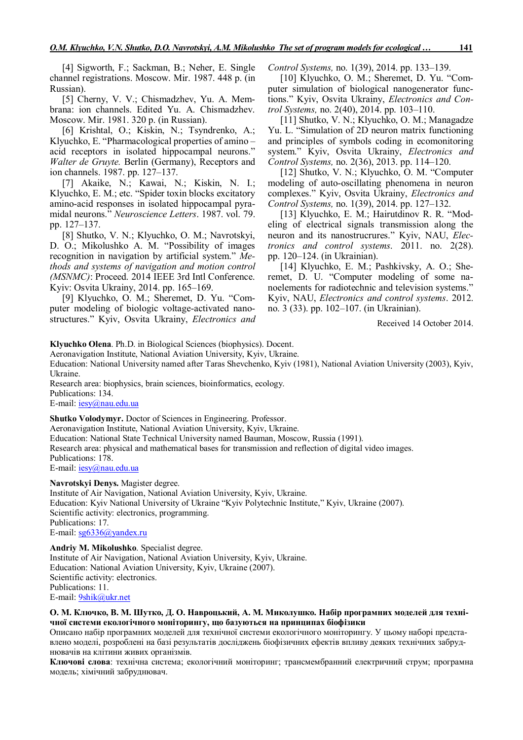[4] Sigworth, F.; Sackman, B.; Neher, E. Single channel registrations. Мoscow. Mir. 1987. 448 p. (in Russian).

[5] Cherny, V. V.; Chismadzhev, Yu. A. Membrana: ion channels. Edited Yu. A. Chismadzhev. Мoscow. Mir. 1981. 320 p. (in Russian).

[6] Krishtal, O.; Kiskin, N.; Tsyndrenko, A.; Klyuchko, E. "Pharmacological properties of amino – acid receptors in isolated hippocampal neurons." *Walter de Gruyte.* Berlin (Germany), Receptors and ion channels. 1987. pp. 127–137.

[7] Akaike, N.; Kawai, N.; Kiskin, N. I.; Klyuchko, E. M.; etc. "Spider toxin blocks excitatory amino-acid responses in isolated hippocampal pyramidal neurons." *Neuroscience Letters*. 1987. vol. 79. pp. 127–137.

[8] Shutko, V. N.; Klyuchko, O. M.; Navrotskyi, D. O.; Mikolushko A. M. "Possibility of images recognition in navigation by artificial system." *Methods and systems of navigation and motion control (MSNMC)*: Proceed. 2014 IEEE 3rd Intl Conference. Kyiv: Osvita Ukrainy, 2014. pp. 165–169.

[9] Klyuchko, O. M.; Sheremet, D. Yu. "Computer modeling of biologic voltage-activated nanostructures." Kyiv, Osvita Ukrainy, *Electronics and*  *Control Systems,* no. 1(39), 2014. pp. 133–139.

[10] Klyuchko, O. M.; Sheremet, D. Yu. "Computer simulation of biological nanogenerator functions." Kyiv, Osvita Ukrainy, *Electronics and Control Systems,* no. 2(40), 2014. pp. 103–110.

[11] Shutko, V. N.; Klyuchko, О. М.; Managadze Yu. L. "Simulation of 2D neuron matrix functioning and principles of symbols coding in ecomonitoring system." Kyiv, Osvita Ukrainy, *Electronics and Control Systems,* no. 2(36), 2013. pp. 114–120.

[12] Shutko, V. N.; Klyuchko, О. М. "Computer modeling of auto-oscillating phenomena in neuron complexes." Kyiv, Osvita Ukrainy, *Electronics and Control Systems,* no. 1(39), 2014. pp. 127–132.

[13] Klyuchko, E. M.; Hairutdinov R. R. "Modeling of electrical signals transmission along the neuron and its nanostrucrures." Kyiv, NAU, *Electronics and control systems*. 2011. no. 2(28). pp. 120–124. (in Ukrainian).

[14] Klyuchko, E. M.; Pashkivsky, A. O.; Sheremet, D. U. "Computer modeling of some nanoelements for radiotechnic and television systems." Kyiv, NAU, *Electronics and control systems*. 2012. no. 3 (33). pp. 102–107. (in Ukrainian).

Received 14 October 2014.

**Klyuchko Olena**. Ph.D. in Biological Sciences (biophysics). Docent.

Aeronavigation Institute, National Aviation University, Kyiv, Ukraine.

Education: National University named after Taras Shevchenko, Kyiv (1981), National Aviation University (2003), Kyiv, Ukraine.

Research area: biophysics, brain sciences, bioinformatics, ecology. Publications: 134.

E-mail: iesy@nau.edu.ua

**Shutko Volodymyr.** Doctor of Sciences in Engineering. Professor.

Aeronavigation Institute, National Aviation University, Kyiv, Ukraine. Education: National State Technical University named Bauman, Moscow, Russia (1991). Research area: physical and mathematical bases for transmission and reflection of digital video images. Publications: 178. E-mail: iesy@nau.edu.ua

**Navrotskyi Denys.** Magister degree.

Institute of Air Navigation, National Aviation University, Kyiv, Ukraine. Education: Kyiv National University of Ukraine "Kyiv Polytechnic Institute," Kyiv, Ukraine (2007). Scientific activity: electronics, programming. Publications: 17. E-mail: sg6336@yandex.ru

**Andriy M. Mikolushko**. Specialist degree. Institute of Air Navigation, National Aviation University, Kyiv, Ukraine. Education: National Aviation University, Kyiv, Ukraine (2007). Scientific activity: electronics. Publications: 11. E-mail: 9shik@ukr.net

## **О. М. Ключко, В. М. Шутко, Д. О. Навроцький, А. М. Миколушко. Набір програмних моделей для технічної системи екологічного моніторингу, що базуються на принципах біофізики**

Описано набір програмних моделей для технічної системи екологічного моніторингу. У цьому наборі представлено моделі, розроблені на базі результатів досліджень біофізичних ефектів впливу деяких технічних забруднювачів на клітини живих організмів.

**Ключові слова**: технічна система; екологічний моніторинг; трансмембранний електричний струм; програмна модель; хімічний забруднювач.